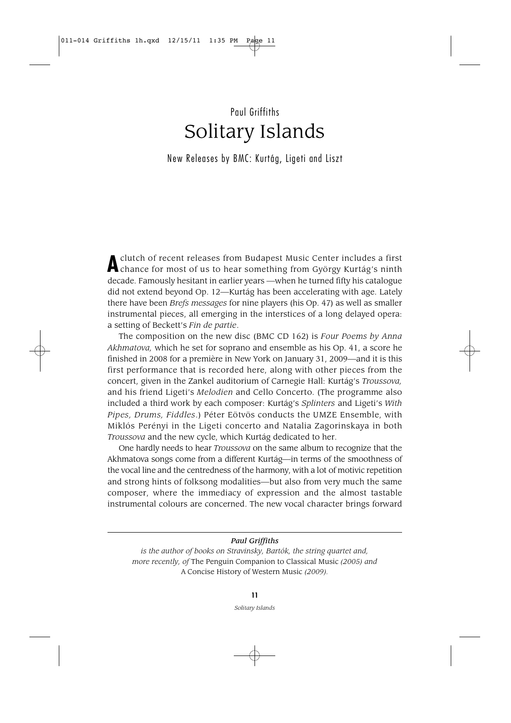## Paul Griffiths Solitary Islands

New Releases by BMC: Kurtág, Ligeti and Liszt

**A**clutch of recent releases from Budapest Music Center includes <sup>a</sup> first chance for most of us to hear something from György Kurtág's ninth decade. Famously hesitant in earlier years —when he turned fifty his catalogue did not extend beyond Op. 12—Kurtág has been accelerating with age. Lately there have been *Brefs messages* for nine players (his Op. 47) as well as smaller instrumental pieces, all emerging in the interstices of a long delayed opera: a setting of Beckett's *Fin de partie*.

The composition on the new disc (BMC CD 162) is *Four Poems by Anna Akhmatova,* which he set for soprano and ensemble as his Op. 41, a score he finished in 2008 for a première in New York on January 31, 2009—and it is this first performance that is recorded here, along with other pieces from the concert, given in the Zankel auditorium of Carnegie Hall: Kurtág's *Troussova,* and his friend Ligeti's *Melodien* and Cello Concerto. (The programme also included a third work by each composer: Kurtág's Splinters and Ligeti's With *Pipes, Drums, Fiddles*.) Péter Eötvös conducts the UMZE Ensemble, with Miklós Perényi in the Ligeti concerto and Natalia Zagorinskaya in both *Troussova* and the new cycle, which Kurtág dedicated to her.

One hardly needs to hear *Troussova* on the same album to recognize that the Akhmatova songs come from a different Kurtág—in terms of the smoothness of the vocal line and the centredness of the harmony, with a lot of motivic repetition and strong hints of folksong modalities—but also from very much the same composer, where the immediacy of expression and the almost tastable instrumental colours are concerned. The new vocal character brings forward

*Paul Griffiths is the author of books on Stravinsky, Bartók, the string quartet and, more recently, of* The Penguin Companion to Classical Music *(2005) and*  A Concise History of Western Music *(2009).*

> **11** *Solitary Islands*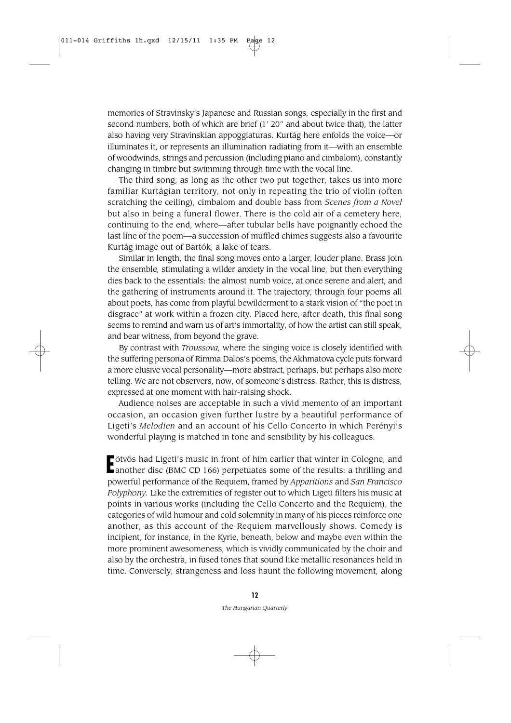memories of Stravinsky's Japanese and Russian songs, especially in the first and second numbers, both of which are brief (1' 20" and about twice that), the latter also having very Stravinskian appoggiaturas. Kurtág here enfolds the voice—or illuminates it, or represents an illumination radiating from it—with an ensemble of woodwinds, strings and percussion (including piano and cimbalom), constantly changing in timbre but swimming through time with the vocal line.

The third song, as long as the other two put together, takes us into more familiar Kurtágian territory, not only in repeating the trio of violin (often scratching the ceiling), cimbalom and double bass from *Scenes from a Novel* but also in being a funeral flower. There is the cold air of a cemetery here, continuing to the end, where—after tubular bells have poignantly echoed the last line of the poem—a succession of muffled chimes suggests also a favourite Kurtág image out of Bartók, a lake of tears.

Similar in length, the final song moves onto a larger, louder plane. Brass join the ensemble, stimulating a wilder anxiety in the vocal line, but then everything dies back to the essentials: the almost numb voice, at once serene and alert, and the gathering of instruments around it. The trajectory, through four poems all about poets, has come from playful bewilderment to a stark vision of "the poet in disgrace" at work within a frozen city. Placed here, after death, this final song seems to remind and warn us of art's immortality, of how the artist can still speak, and bear witness, from beyond the grave.

By contrast with *Troussova,* where the singing voice is closely identified with the suffering persona of Rimma Dalos's poems, the Akhmatova cycle puts forward a more elusive vocal personality—more abstract, perhaps, but perhaps also more telling. We are not observers, now, of someone's distress. Rather, this is distress, expressed at one moment with hair-raising shock.

Audience noises are acceptable in such a vivid memento of an important occasion, an occasion given further lustre by a beautiful performance of Ligeti's *Melodien* and an account of his Cello Concerto in which Perényi's wonderful playing is matched in tone and sensibility by his colleagues.

Fötvös had Ligeti's music in front of him earlier that winter in Cologne, and<br>Lanother disc (BMC CD 166) perpetuates some of the results: a thrilling and another disc (BMC CD 166) perpetuates some of the results: a thrilling and powerful performance of the Requiem, framed by *Apparitions* and *San Francisco Polyphony.* Like the extremities of register out to which Ligeti filters his music at points in various works (including the Cello Concerto and the Requiem), the categories of wild humour and cold solemnity in many of his pieces reinforce one another, as this account of the Requiem marvellously shows. Comedy is incipient, for instance, in the Kyrie, beneath, below and maybe even within the more prominent awesomeness, which is vividly communicated by the choir and also by the orchestra, in fused tones that sound like metallic resonances held in time. Conversely, strangeness and loss haunt the following movement, along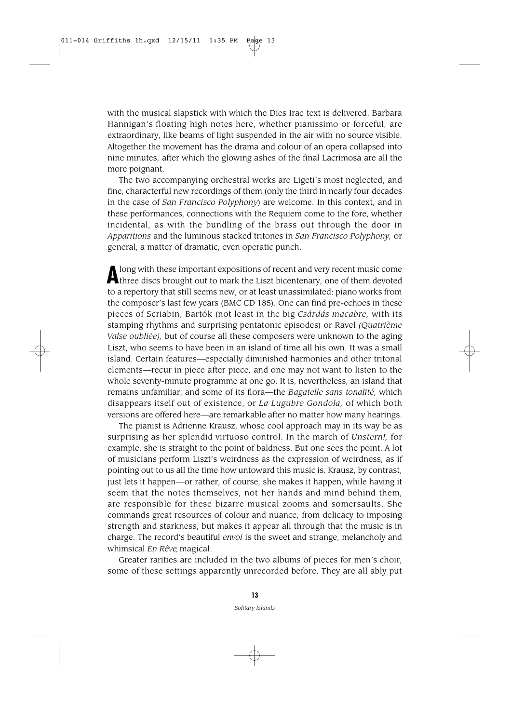with the musical slapstick with which the Dies Irae text is delivered. Barbara Hannigan's floating high notes here, whether pianissimo or forceful, are extraordinary, like beams of light suspended in the air with no source visible. Altogether the movement has the drama and colour of an opera collapsed into nine minutes, after which the glowing ashes of the final Lacrimosa are all the more poignant.

The two accompanying orchestral works are Ligeti's most neglected, and fine, characterful new recordings of them (only the third in nearly four decades in the case of *San Francisco Polyphony*) are welcome. In this context, and in these performances, connections with the Requiem come to the fore, whether incidental, as with the bundling of the brass out through the door in *Apparitions* and the luminous stacked tritones in *San Francisco Polyphony,* or general, a matter of dramatic, even operatic punch.

Along with these important expositions of recent and very recent music come<br>three discs brought out to mark the Liszt bicentenary, one of them devoted to a repertory that still seems new, or at least unassimilated: piano works from the composer's last few years (BMC CD 185). One can find pre-echoes in these pieces of Scriabin, Bartók (not least in the big *Csárdás macabre,* with its stamping rhythms and surprising pentatonic episodes) or Ravel *(Quatrième Valse oubliée),* but of course all these composers were unknown to the aging Liszt, who seems to have been in an island of time all his own. It was a small island. Certain features—especially diminished harmonies and other tritonal elements—recur in piece after piece, and one may not want to listen to the whole seventy-minute programme at one go. It is, nevertheless, an island that remains unfamiliar, and some of its flora—the *Bagatelle sans tonalité*, which disappears itself out of existence, or *La Lugubre Gondola,* of which both versions are offered here—are remarkable after no matter how many hearings.

The pianist is Adrienne Krausz, whose cool approach may in its way be as surprising as her splendid virtuoso control. In the march of *Unstern!*, for example, she is straight to the point of baldness. But one sees the point. A lot of musicians perform Liszt's weirdness as the expression of weirdness, as if pointing out to us all the time how untoward this music is. Krausz, by contrast, just lets it happen—or rather, of course, she makes it happen, while having it seem that the notes themselves, not her hands and mind behind them, are responsible for these bizarre musical zooms and somersaults. She commands great resources of colour and nuance, from delicacy to imposing strength and starkness, but makes it appear all through that the music is in charge. The record's beautiful *envoi* is the sweet and strange, melancholy and whimsical *En Rêve*, magical.

Greater rarities are included in the two albums of pieces for men's choir, some of these settings apparently unrecorded before. They are all ably put